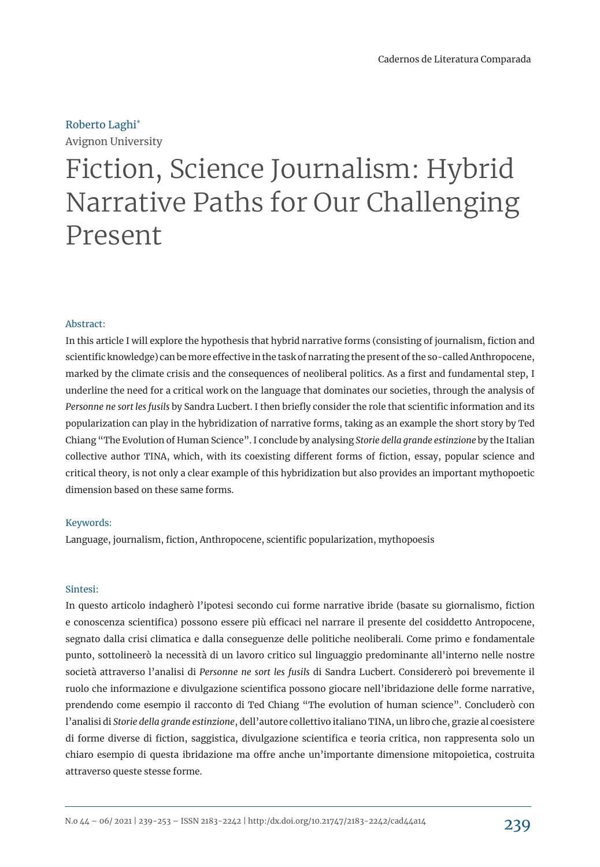# Roberto Laghi\*

Avignon University

# Fiction, Science Journalism: Hybrid Narrative Paths for Our Challenging Present

#### Abstract:

In this article I will explore the hypothesis that hybrid narrative forms (consisting of journalism, fiction and scientific knowledge) can be more effective in the task of narrating the present of the so-called Anthropocene, marked by the climate crisis and the consequences of neoliberal politics. As a first and fundamental step, I underline the need for a critical work on the language that dominates our societies, through the analysis of *Personne ne sort les fusils* by Sandra Lucbert. I then briefly consider the role that scientific information and its popularization can play in the hybridization of narrative forms, taking as an example the short story by Ted Chiang "The Evolution of Human Science". I conclude by analysing *Storie della grande estinzione* by the Italian collective author TINA, which, with its coexisting different forms of fiction, essay, popular science and critical theory, is not only a clear example of this hybridization but also provides an important mythopoetic dimension based on these same forms.

#### Keywords:

Language, journalism, fiction, Anthropocene, scientific popularization, mythopoesis

#### Sintesi:

In questo articolo indagherò l'ipotesi secondo cui forme narrative ibride (basate su giornalismo, fiction e conoscenza scientifica) possono essere più efficaci nel narrare il presente del cosiddetto Antropocene, segnato dalla crisi climatica e dalla conseguenze delle politiche neoliberali. Come primo e fondamentale punto, sottolineerò la necessità di un lavoro critico sul linguaggio predominante all'interno nelle nostre società attraverso l'analisi di *Personne ne sort les fusils* di Sandra Lucbert. Considererò poi brevemente il ruolo che informazione e divulgazione scientifica possono giocare nell'ibridazione delle forme narrative, prendendo come esempio il racconto di Ted Chiang "The evolution of human science". Concluderò con l'analisi di *Storie della grande estinzione*, dell'autore collettivo italiano TINA, un libro che, grazie al coesistere di forme diverse di fiction, saggistica, divulgazione scientifica e teoria critica, non rappresenta solo un chiaro esempio di questa ibridazione ma offre anche un'importante dimensione mitopoietica, costruita attraverso queste stesse forme.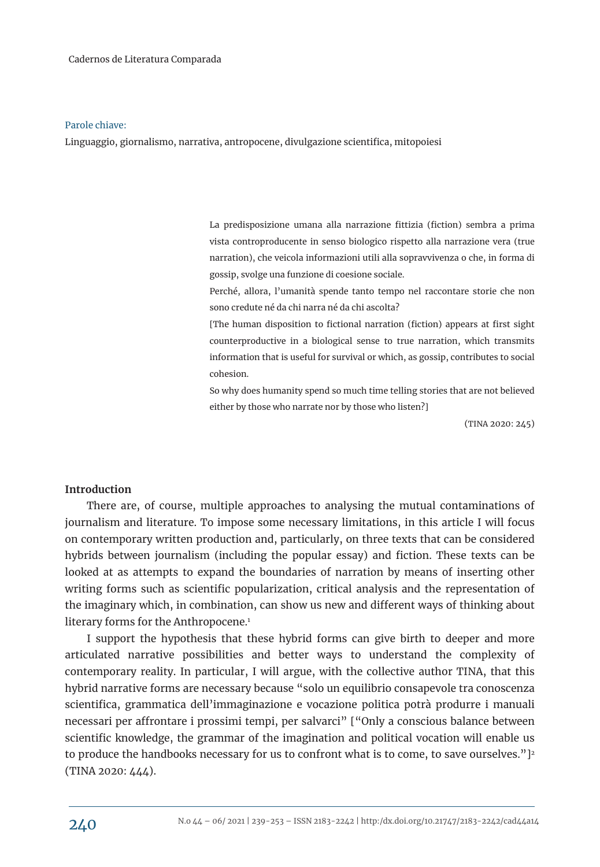#### Parole chiave:

Linguaggio, giornalismo, narrativa, antropocene, divulgazione scientifica, mitopoiesi

La predisposizione umana alla narrazione fittizia (fiction) sembra a prima vista controproducente in senso biologico rispetto alla narrazione vera (true narration), che veicola informazioni utili alla sopravvivenza o che, in forma di gossip, svolge una funzione di coesione sociale.

Perché, allora, l'umanità spende tanto tempo nel raccontare storie che non sono credute né da chi narra né da chi ascolta?

[The human disposition to fictional narration (fiction) appears at first sight counterproductive in a biological sense to true narration, which transmits information that is useful for survival or which, as gossip, contributes to social cohesion.

So why does humanity spend so much time telling stories that are not believed either by those who narrate nor by those who listen?]

(TINA 2020: 245)

## **Introduction**

There are, of course, multiple approaches to analysing the mutual contaminations of journalism and literature. To impose some necessary limitations, in this article I will focus on contemporary written production and, particularly, on three texts that can be considered hybrids between journalism (including the popular essay) and fiction. These texts can be looked at as attempts to expand the boundaries of narration by means of inserting other writing forms such as scientific popularization, critical analysis and the representation of the imaginary which, in combination, can show us new and different ways of thinking about literary forms for the Anthropocene.<sup>1</sup>

I support the hypothesis that these hybrid forms can give birth to deeper and more articulated narrative possibilities and better ways to understand the complexity of contemporary reality. In particular, I will argue, with the collective author TINA, that this hybrid narrative forms are necessary because "solo un equilibrio consapevole tra conoscenza scientifica, grammatica dell'immaginazione e vocazione politica potrà produrre i manuali necessari per affrontare i prossimi tempi, per salvarci" ["Only a conscious balance between scientific knowledge, the grammar of the imagination and political vocation will enable us to produce the handbooks necessary for us to confront what is to come, to save ourselves." ]<sup>2</sup> (TINA 2020: 444).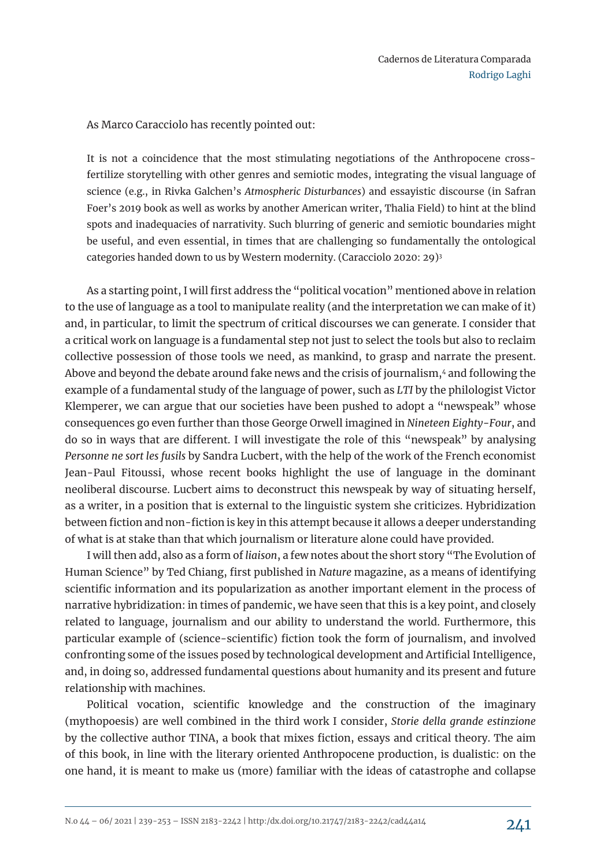As Marco Caracciolo has recently pointed out:

It is not a coincidence that the most stimulating negotiations of the Anthropocene crossfertilize storytelling with other genres and semiotic modes, integrating the visual language of science (e.g., in Rivka Galchen's *Atmospheric Disturbances*) and essayistic discourse (in Safran Foer's 2019 book as well as works by another American writer, Thalia Field) to hint at the blind spots and inadequacies of narrativity. Such blurring of generic and semiotic boundaries might be useful, and even essential, in times that are challenging so fundamentally the ontological categories handed down to us by Western modernity. (Caracciolo 2020: 29)<sup>3</sup>

As a starting point, I will first address the "political vocation" mentioned above in relation to the use of language as a tool to manipulate reality (and the interpretation we can make of it) and, in particular, to limit the spectrum of critical discourses we can generate. I consider that a critical work on language is a fundamental step not just to select the tools but also to reclaim collective possession of those tools we need, as mankind, to grasp and narrate the present. Above and beyond the debate around fake news and the crisis of journalism,<sup>4</sup> and following the example of a fundamental study of the language of power, such as *LTI* by the philologist Victor Klemperer, we can argue that our societies have been pushed to adopt a "newspeak" whose consequences go even further than those George Orwell imagined in *Nineteen Eighty-Four*, and do so in ways that are different. I will investigate the role of this "newspeak" by analysing *Personne ne sort les fusils* by Sandra Lucbert, with the help of the work of the French economist Jean-Paul Fitoussi, whose recent books highlight the use of language in the dominant neoliberal discourse. Lucbert aims to deconstruct this newspeak by way of situating herself, as a writer, in a position that is external to the linguistic system she criticizes. Hybridization between fiction and non-fiction is key in this attempt because it allows a deeper understanding of what is at stake than that which journalism or literature alone could have provided.

I will then add, also as a form of *liaison*, a few notes about the short story "The Evolution of Human Science" by Ted Chiang, first published in *Nature* magazine, as a means of identifying scientific information and its popularization as another important element in the process of narrative hybridization: in times of pandemic, we have seen that this is a key point, and closely related to language, journalism and our ability to understand the world. Furthermore, this particular example of (science-scientific) fiction took the form of journalism, and involved confronting some of the issues posed by technological development and Artificial Intelligence, and, in doing so, addressed fundamental questions about humanity and its present and future relationship with machines.

Political vocation, scientific knowledge and the construction of the imaginary (mythopoesis) are well combined in the third work I consider, *Storie della grande estinzione* by the collective author TINA, a book that mixes fiction, essays and critical theory. The aim of this book, in line with the literary oriented Anthropocene production, is dualistic: on the one hand, it is meant to make us (more) familiar with the ideas of catastrophe and collapse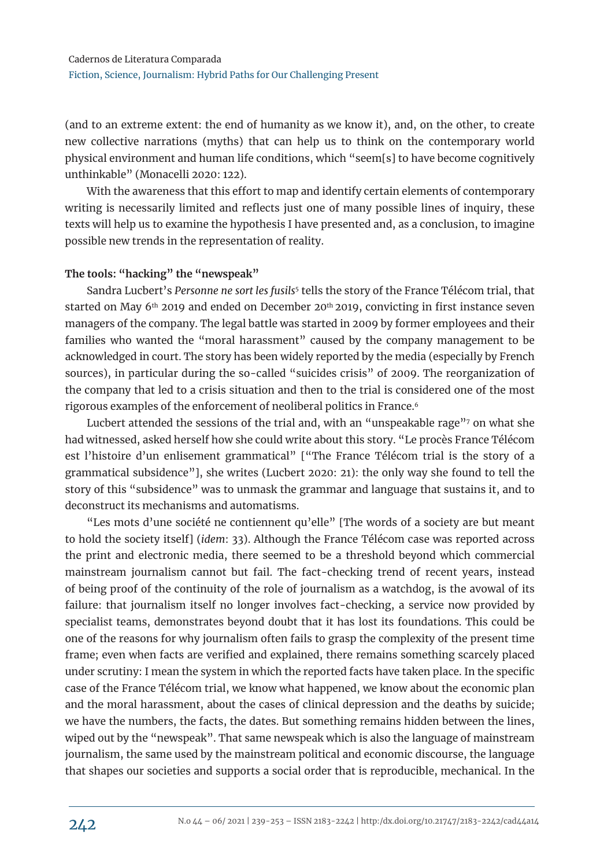(and to an extreme extent: the end of humanity as we know it), and, on the other, to create new collective narrations (myths) that can help us to think on the contemporary world physical environment and human life conditions, which "seem[s] to have become cognitively unthinkable" (Monacelli 2020: 122).

With the awareness that this effort to map and identify certain elements of contemporary writing is necessarily limited and reflects just one of many possible lines of inquiry, these texts will help us to examine the hypothesis I have presented and, as a conclusion, to imagine possible new trends in the representation of reality.

## **The tools: "hacking" the "newspeak"**

Sandra Lucbert's *Personne ne sort les fusils*<sup>5</sup> tells the story of the France Télécom trial, that started on May 6th 2019 and ended on December 20th 2019, convicting in first instance seven managers of the company. The legal battle was started in 2009 by former employees and their families who wanted the "moral harassment" caused by the company management to be acknowledged in court. The story has been widely reported by the media (especially by French sources), in particular during the so-called "suicides crisis" of 2009. The reorganization of the company that led to a crisis situation and then to the trial is considered one of the most rigorous examples of the enforcement of neoliberal politics in France.<sup>6</sup>

Lucbert attended the sessions of the trial and, with an "unspeakable rage"<sup>7</sup> on what she had witnessed, asked herself how she could write about this story. "Le procès France Télécom est l'histoire d'un enlisement grammatical" ["The France Télécom trial is the story of a grammatical subsidence"], she writes (Lucbert 2020: 21): the only way she found to tell the story of this "subsidence" was to unmask the grammar and language that sustains it, and to deconstruct its mechanisms and automatisms.

"Les mots d'une société ne contiennent qu'elle" [The words of a society are but meant to hold the society itself] (*idem*: 33). Although the France Télécom case was reported across the print and electronic media, there seemed to be a threshold beyond which commercial mainstream journalism cannot but fail. The fact-checking trend of recent years, instead of being proof of the continuity of the role of journalism as a watchdog, is the avowal of its failure: that journalism itself no longer involves fact-checking, a service now provided by specialist teams, demonstrates beyond doubt that it has lost its foundations. This could be one of the reasons for why journalism often fails to grasp the complexity of the present time frame; even when facts are verified and explained, there remains something scarcely placed under scrutiny: I mean the system in which the reported facts have taken place. In the specific case of the France Télécom trial, we know what happened, we know about the economic plan and the moral harassment, about the cases of clinical depression and the deaths by suicide; we have the numbers, the facts, the dates. But something remains hidden between the lines, wiped out by the "newspeak". That same newspeak which is also the language of mainstream journalism, the same used by the mainstream political and economic discourse, the language that shapes our societies and supports a social order that is reproducible, mechanical. In the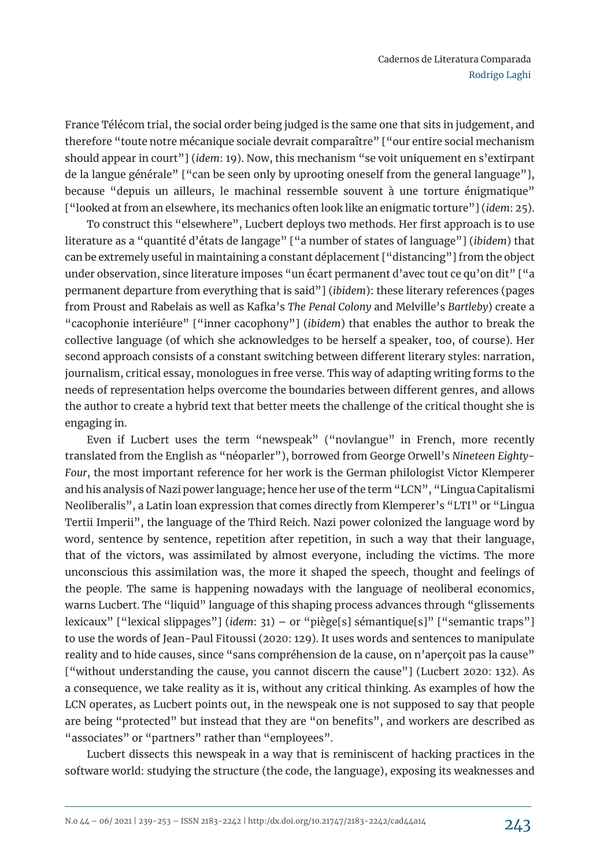France Télécom trial, the social order being judged is the same one that sits in judgement, and therefore "toute notre mécanique sociale devrait comparaître" ["our entire social mechanism should appear in court"] (*idem*: 19). Now, this mechanism "se voit uniquement en s'extirpant de la langue générale" ["can be seen only by uprooting oneself from the general language"], because "depuis un ailleurs, le machinal ressemble souvent à une torture énigmatique" ["looked at from an elsewhere, its mechanics often look like an enigmatic torture"] (*idem*: 25).

To construct this "elsewhere", Lucbert deploys two methods. Her first approach is to use literature as a "quantité d'états de langage" ["a number of states of language"] (*ibidem*) that can be extremely useful in maintaining a constant déplacement ["distancing"] from the object under observation, since literature imposes "un écart permanent d'avec tout ce qu'on dit" ["a permanent departure from everything that is said"] (*ibidem*): these literary references (pages from Proust and Rabelais as well as Kafka's *The Penal Colony* and Melville's *Bartleby*) create a "cacophonie interiéure" ["inner cacophony"] (*ibidem*) that enables the author to break the collective language (of which she acknowledges to be herself a speaker, too, of course). Her second approach consists of a constant switching between different literary styles: narration, journalism, critical essay, monologues in free verse. This way of adapting writing forms to the needs of representation helps overcome the boundaries between different genres, and allows the author to create a hybrid text that better meets the challenge of the critical thought she is engaging in.

Even if Lucbert uses the term "newspeak" ("novlangue" in French, more recently translated from the English as "néoparler"), borrowed from George Orwell's *Nineteen Eighty-Four*, the most important reference for her work is the German philologist Victor Klemperer and his analysis of Nazi power language; hence her use of the term "LCN", "Lingua Capitalismi Neoliberalis", a Latin loan expression that comes directly from Klemperer's "LTI" or "Lingua Tertii Imperii", the language of the Third Reich. Nazi power colonized the language word by word, sentence by sentence, repetition after repetition, in such a way that their language, that of the victors, was assimilated by almost everyone, including the victims. The more unconscious this assimilation was, the more it shaped the speech, thought and feelings of the people. The same is happening nowadays with the language of neoliberal economics, warns Lucbert. The "liquid" language of this shaping process advances through "glissements lexicaux" ["lexical slippages"] (*idem*: 31) – or "piège[s] sémantique[s]" ["semantic traps"] to use the words of Jean-Paul Fitoussi (2020: 129). It uses words and sentences to manipulate reality and to hide causes, since "sans compréhension de la cause, on n'aperçoit pas la cause" ["without understanding the cause, you cannot discern the cause"] (Lucbert 2020: 132). As a consequence, we take reality as it is, without any critical thinking. As examples of how the LCN operates, as Lucbert points out, in the newspeak one is not supposed to say that people are being "protected" but instead that they are "on benefits", and workers are described as "associates" or "partners" rather than "employees".

Lucbert dissects this newspeak in a way that is reminiscent of hacking practices in the software world: studying the structure (the code, the language), exposing its weaknesses and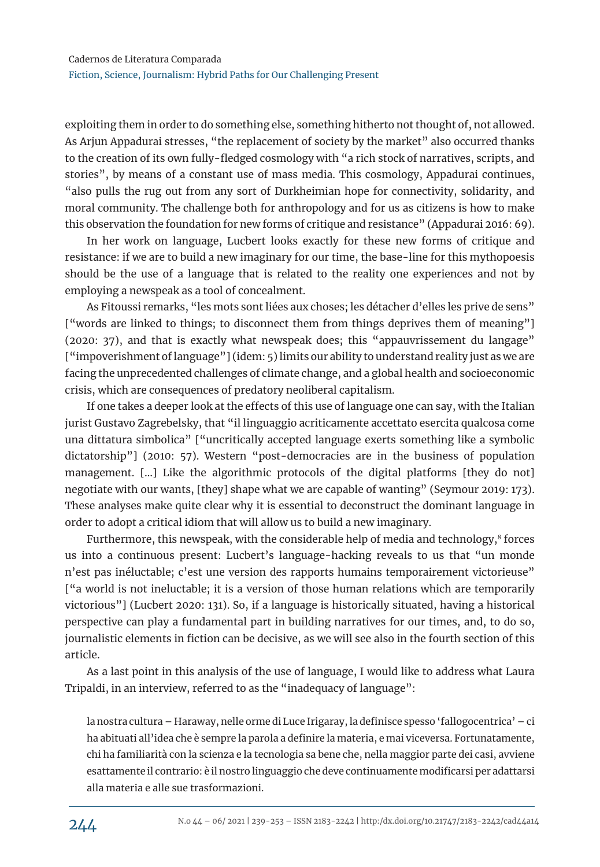exploiting them in order to do something else, something hitherto not thought of, not allowed. As Arjun Appadurai stresses, "the replacement of society by the market" also occurred thanks to the creation of its own fully-fledged cosmology with "a rich stock of narratives, scripts, and stories", by means of a constant use of mass media. This cosmology, Appadurai continues, "also pulls the rug out from any sort of Durkheimian hope for connectivity, solidarity, and moral community. The challenge both for anthropology and for us as citizens is how to make this observation the foundation for new forms of critique and resistance" (Appadurai 2016: 69).

In her work on language, Lucbert looks exactly for these new forms of critique and resistance: if we are to build a new imaginary for our time, the base-line for this mythopoesis should be the use of a language that is related to the reality one experiences and not by employing a newspeak as a tool of concealment.

As Fitoussi remarks, "les mots sont liées aux choses; les détacher d'elles les prive de sens" ["words are linked to things; to disconnect them from things deprives them of meaning"] (2020: 37), and that is exactly what newspeak does; this "appauvrissement du langage" ["impoverishment of language"] (idem: 5) limits our ability to understand reality just as we are facing the unprecedented challenges of climate change, and a global health and socioeconomic crisis, which are consequences of predatory neoliberal capitalism.

If one takes a deeper look at the effects of this use of language one can say, with the Italian jurist Gustavo Zagrebelsky, that "il linguaggio acriticamente accettato esercita qualcosa come una dittatura simbolica" ["uncritically accepted language exerts something like a symbolic dictatorship"] (2010: 57). Western "post-democracies are in the business of population management. […] Like the algorithmic protocols of the digital platforms [they do not] negotiate with our wants, [they] shape what we are capable of wanting" (Seymour 2019: 173). These analyses make quite clear why it is essential to deconstruct the dominant language in order to adopt a critical idiom that will allow us to build a new imaginary.

Furthermore, this newspeak, with the considerable help of media and technology, $^8$  forces us into a continuous present: Lucbert's language-hacking reveals to us that "un monde n'est pas inéluctable; c'est une version des rapports humains temporairement victorieuse" ["a world is not ineluctable; it is a version of those human relations which are temporarily victorious"] (Lucbert 2020: 131). So, if a language is historically situated, having a historical perspective can play a fundamental part in building narratives for our times, and, to do so, journalistic elements in fiction can be decisive, as we will see also in the fourth section of this article.

As a last point in this analysis of the use of language, I would like to address what Laura Tripaldi, in an interview, referred to as the "inadequacy of language":

la nostra cultura – Haraway, nelle orme di Luce Irigaray, la definisce spesso 'fallogocentrica' – ci ha abituati all'idea che è sempre la parola a definire la materia, e mai viceversa. Fortunatamente, chi ha familiarità con la scienza e la tecnologia sa bene che, nella maggior parte dei casi, avviene esattamente il contrario: è il nostro linguaggio che deve continuamente modificarsi per adattarsi alla materia e alle sue trasformazioni.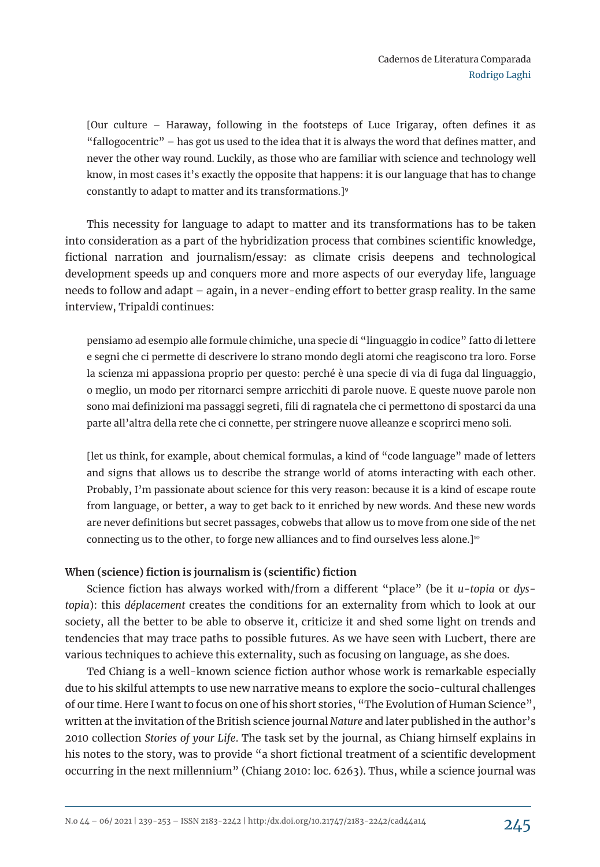[Our culture – Haraway, following in the footsteps of Luce Irigaray, often defines it as "fallogocentric" – has got us used to the idea that it is always the word that defines matter, and never the other way round. Luckily, as those who are familiar with science and technology well know, in most cases it's exactly the opposite that happens: it is our language that has to change constantly to adapt to matter and its transformations.]<sup>9</sup>

This necessity for language to adapt to matter and its transformations has to be taken into consideration as a part of the hybridization process that combines scientific knowledge, fictional narration and journalism/essay: as climate crisis deepens and technological development speeds up and conquers more and more aspects of our everyday life, language needs to follow and adapt – again, in a never-ending effort to better grasp reality. In the same interview, Tripaldi continues:

pensiamo ad esempio alle formule chimiche, una specie di "linguaggio in codice" fatto di lettere e segni che ci permette di descrivere lo strano mondo degli atomi che reagiscono tra loro. Forse la scienza mi appassiona proprio per questo: perché è una specie di via di fuga dal linguaggio, o meglio, un modo per ritornarci sempre arricchiti di parole nuove. E queste nuove parole non sono mai definizioni ma passaggi segreti, fili di ragnatela che ci permettono di spostarci da una parte all'altra della rete che ci connette, per stringere nuove alleanze e scoprirci meno soli.

[let us think, for example, about chemical formulas, a kind of "code language" made of letters and signs that allows us to describe the strange world of atoms interacting with each other. Probably, I'm passionate about science for this very reason: because it is a kind of escape route from language, or better, a way to get back to it enriched by new words. And these new words are never definitions but secret passages, cobwebs that allow us to move from one side of the net connecting us to the other, to forge new alliances and to find ourselves less alone.]<sup>10</sup>

## **When (science) fiction is journalism is (scientific) fiction**

Science fiction has always worked with/from a different "place" (be it *u-topia* or *dystopia*): this *déplacement* creates the conditions for an externality from which to look at our society, all the better to be able to observe it, criticize it and shed some light on trends and tendencies that may trace paths to possible futures. As we have seen with Lucbert, there are various techniques to achieve this externality, such as focusing on language, as she does.

Ted Chiang is a well-known science fiction author whose work is remarkable especially due to his skilful attempts to use new narrative means to explore the socio-cultural challenges of our time. Here I want to focus on one of his short stories, "The Evolution of Human Science", written at the invitation of the British science journal *Nature* and later published in the author's 2010 collection *Stories of your Life*. The task set by the journal, as Chiang himself explains in his notes to the story, was to provide "a short fictional treatment of a scientific development occurring in the next millennium" (Chiang 2010: loc. 6263). Thus, while a science journal was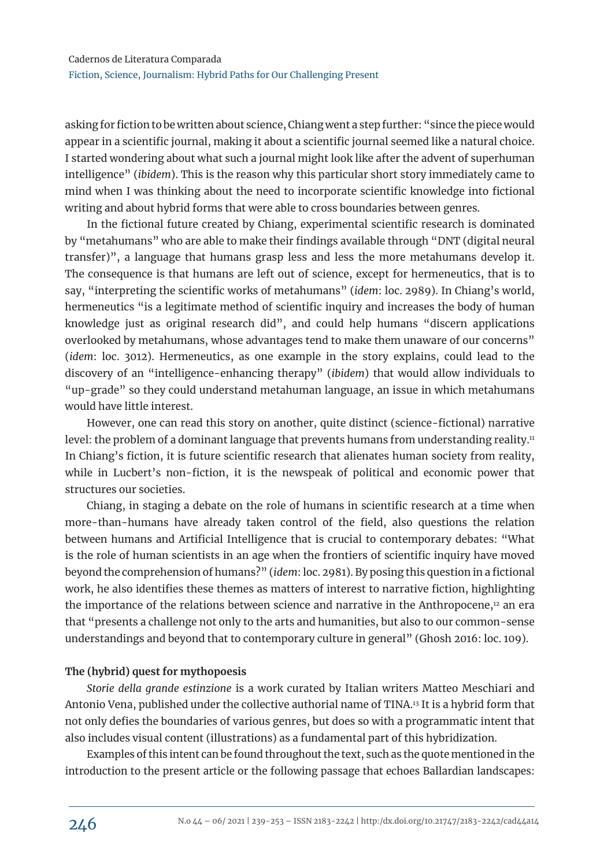asking for fiction to be written about science, Chiang went a step further: "since the piece would appear in a scientific journal, making it about a scientific journal seemed like a natural choice. I started wondering about what such a journal might look like after the advent of superhuman intelligence" (*ibidem*). This is the reason why this particular short story immediately came to mind when I was thinking about the need to incorporate scientific knowledge into fictional writing and about hybrid forms that were able to cross boundaries between genres.

In the fictional future created by Chiang, experimental scientific research is dominated by "metahumans" who are able to make their findings available through "DNT (digital neural transfer)", a language that humans grasp less and less the more metahumans develop it. The consequence is that humans are left out of science, except for hermeneutics, that is to say, "interpreting the scientific works of metahumans" (*idem*: loc. 2989). In Chiang's world, hermeneutics "is a legitimate method of scientific inquiry and increases the body of human knowledge just as original research did", and could help humans "discern applications overlooked by metahumans, whose advantages tend to make them unaware of our concerns" (*idem*: loc. 3012). Hermeneutics, as one example in the story explains, could lead to the discovery of an "intelligence-enhancing therapy" (*ibidem*) that would allow individuals to "up-grade" so they could understand metahuman language, an issue in which metahumans would have little interest.

However, one can read this story on another, quite distinct (science-fictional) narrative level: the problem of a dominant language that prevents humans from understanding reality.<sup>11</sup> In Chiang's fiction, it is future scientific research that alienates human society from reality, while in Lucbert's non-fiction, it is the newspeak of political and economic power that structures our societies.

Chiang, in staging a debate on the role of humans in scientific research at a time when more-than-humans have already taken control of the field, also questions the relation between humans and Artificial Intelligence that is crucial to contemporary debates: "What is the role of human scientists in an age when the frontiers of scientific inquiry have moved beyond the comprehension of humans?" (*idem*: loc. 2981). By posing this question in a fictional work, he also identifies these themes as matters of interest to narrative fiction, highlighting the importance of the relations between science and narrative in the Anthropocene, $12$  an era that "presents a challenge not only to the arts and humanities, but also to our common-sense understandings and beyond that to contemporary culture in general" (Ghosh 2016: loc. 109).

## **The (hybrid) quest for mythopoesis**

*Storie della grande estinzione* is a work curated by Italian writers Matteo Meschiari and Antonio Vena, published under the collective authorial name of TINA.13 It is a hybrid form that not only defies the boundaries of various genres, but does so with a programmatic intent that also includes visual content (illustrations) as a fundamental part of this hybridization.

Examples of this intent can be found throughout the text, such as the quote mentioned in the introduction to the present article or the following passage that echoes Ballardian landscapes: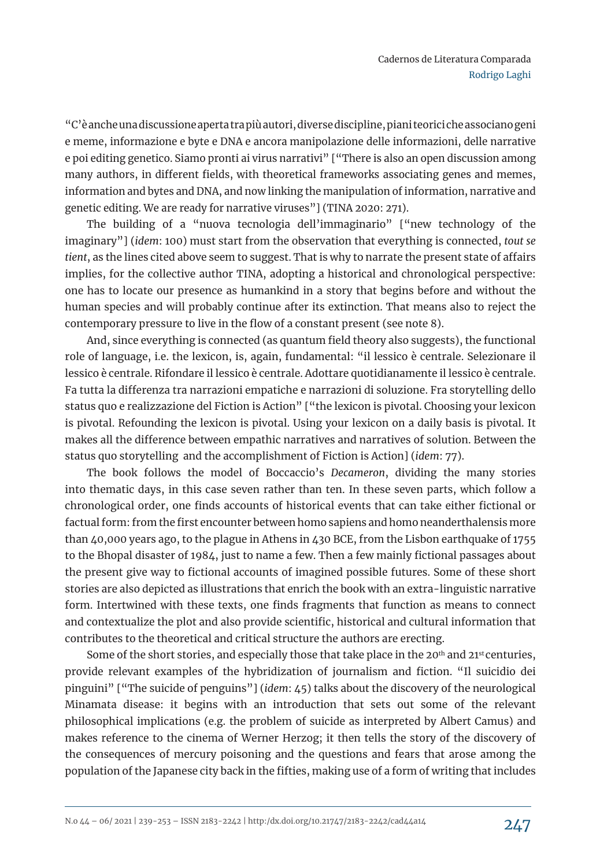"C'è anche una discussione aperta tra più autori, diverse discipline, piani teorici che associano geni e meme, informazione e byte e DNA e ancora manipolazione delle informazioni, delle narrative e poi editing genetico. Siamo pronti ai virus narrativi" ["There is also an open discussion among many authors, in different fields, with theoretical frameworks associating genes and memes, information and bytes and DNA, and now linking the manipulation of information, narrative and genetic editing. We are ready for narrative viruses"] (TINA 2020: 271).

The building of a "nuova tecnologia dell'immaginario" ["new technology of the imaginary"] (*idem*: 100) must start from the observation that everything is connected, *tout se tient*, as the lines cited above seem to suggest. That is why to narrate the present state of affairs implies, for the collective author TINA, adopting a historical and chronological perspective: one has to locate our presence as humankind in a story that begins before and without the human species and will probably continue after its extinction. That means also to reject the contemporary pressure to live in the flow of a constant present (see note 8).

And, since everything is connected (as quantum field theory also suggests), the functional role of language, i.e. the lexicon, is, again, fundamental: "il lessico è centrale. Selezionare il lessico è centrale. Rifondare il lessico è centrale. Adottare quotidianamente il lessico è centrale. Fa tutta la differenza tra narrazioni empatiche e narrazioni di soluzione. Fra storytelling dello status quo e realizzazione del Fiction is Action" ["the lexicon is pivotal. Choosing your lexicon is pivotal. Refounding the lexicon is pivotal. Using your lexicon on a daily basis is pivotal. It makes all the difference between empathic narratives and narratives of solution. Between the status quo storytelling and the accomplishment of Fiction is Action] (*idem*: 77).

The book follows the model of Boccaccio's *Decameron*, dividing the many stories into thematic days, in this case seven rather than ten. In these seven parts, which follow a chronological order, one finds accounts of historical events that can take either fictional or factual form: from the first encounter between homo sapiens and homo neanderthalensis more than 40,000 years ago, to the plague in Athens in 430 BCE, from the Lisbon earthquake of 1755 to the Bhopal disaster of 1984, just to name a few. Then a few mainly fictional passages about the present give way to fictional accounts of imagined possible futures. Some of these short stories are also depicted as illustrations that enrich the book with an extra-linguistic narrative form. Intertwined with these texts, one finds fragments that function as means to connect and contextualize the plot and also provide scientific, historical and cultural information that contributes to the theoretical and critical structure the authors are erecting.

Some of the short stories, and especially those that take place in the  $20<sup>th</sup>$  and  $21<sup>st</sup>$  centuries, provide relevant examples of the hybridization of journalism and fiction. "Il suicidio dei pinguini" ["The suicide of penguins"] (*idem*: 45) talks about the discovery of the neurological Minamata disease: it begins with an introduction that sets out some of the relevant philosophical implications (e.g. the problem of suicide as interpreted by Albert Camus) and makes reference to the cinema of Werner Herzog; it then tells the story of the discovery of the consequences of mercury poisoning and the questions and fears that arose among the population of the Japanese city back in the fifties, making use of a form of writing that includes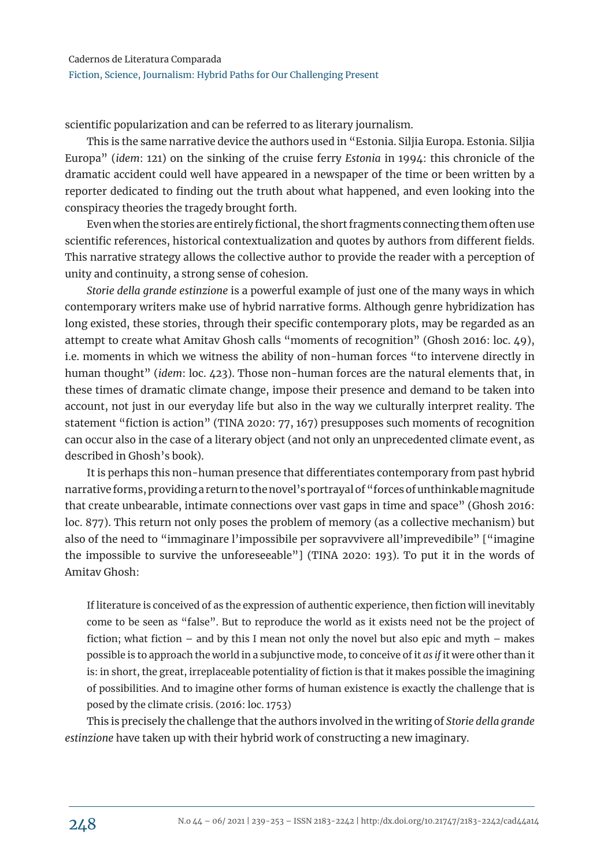scientific popularization and can be referred to as literary journalism.

This is the same narrative device the authors used in "Estonia. Siljia Europa. Estonia. Siljia Europa" (*idem*: 121) on the sinking of the cruise ferry *Estonia* in 1994: this chronicle of the dramatic accident could well have appeared in a newspaper of the time or been written by a reporter dedicated to finding out the truth about what happened, and even looking into the conspiracy theories the tragedy brought forth.

Even when the stories are entirely fictional, the short fragments connecting them often use scientific references, historical contextualization and quotes by authors from different fields. This narrative strategy allows the collective author to provide the reader with a perception of unity and continuity, a strong sense of cohesion.

*Storie della grande estinzione* is a powerful example of just one of the many ways in which contemporary writers make use of hybrid narrative forms. Although genre hybridization has long existed, these stories, through their specific contemporary plots, may be regarded as an attempt to create what Amitav Ghosh calls "moments of recognition" (Ghosh 2016: loc. 49), i.e. moments in which we witness the ability of non-human forces "to intervene directly in human thought" (*idem*: loc. 423). Those non-human forces are the natural elements that, in these times of dramatic climate change, impose their presence and demand to be taken into account, not just in our everyday life but also in the way we culturally interpret reality. The statement "fiction is action" (TINA 2020: 77, 167) presupposes such moments of recognition can occur also in the case of a literary object (and not only an unprecedented climate event, as described in Ghosh's book).

It is perhaps this non-human presence that differentiates contemporary from past hybrid narrative forms, providing a return to the novel's portrayal of "forces of unthinkable magnitude that create unbearable, intimate connections over vast gaps in time and space" (Ghosh 2016: loc. 877). This return not only poses the problem of memory (as a collective mechanism) but also of the need to "immaginare l'impossibile per sopravvivere all'imprevedibile" ["imagine the impossible to survive the unforeseeable"] (TINA 2020: 193). To put it in the words of Amitav Ghosh:

If literature is conceived of as the expression of authentic experience, then fiction will inevitably come to be seen as "false". But to reproduce the world as it exists need not be the project of fiction; what fiction – and by this I mean not only the novel but also epic and myth – makes possible is to approach the world in a subjunctive mode, to conceive of it *as if* it were other than it is: in short, the great, irreplaceable potentiality of fiction is that it makes possible the imagining of possibilities. And to imagine other forms of human existence is exactly the challenge that is posed by the climate crisis. (2016: loc. 1753)

This is precisely the challenge that the authors involved in the writing of *Storie della grande estinzione* have taken up with their hybrid work of constructing a new imaginary.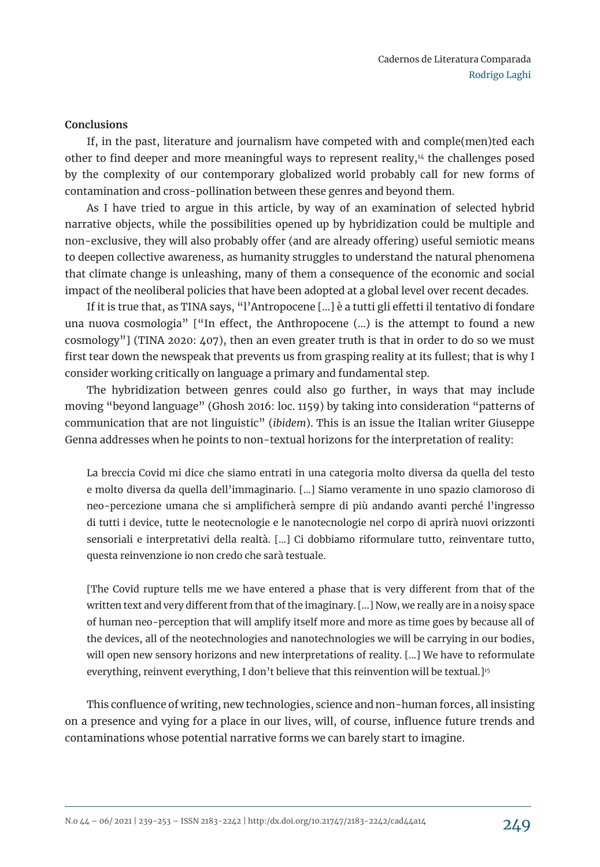### **Conclusions**

If, in the past, literature and journalism have competed with and comple(men)ted each other to find deeper and more meaningful ways to represent reality, $14$  the challenges posed by the complexity of our contemporary globalized world probably call for new forms of contamination and cross-pollination between these genres and beyond them.

As I have tried to argue in this article, by way of an examination of selected hybrid narrative objects, while the possibilities opened up by hybridization could be multiple and non-exclusive, they will also probably offer (and are already offering) useful semiotic means to deepen collective awareness, as humanity struggles to understand the natural phenomena that climate change is unleashing, many of them a consequence of the economic and social impact of the neoliberal policies that have been adopted at a global level over recent decades.

If it is true that, as TINA says, "l'Antropocene […] è a tutti gli effetti il tentativo di fondare una nuova cosmologia" ["In effect, the Anthropocene (…) is the attempt to found a new cosmology"] (TINA 2020: 407), then an even greater truth is that in order to do so we must first tear down the newspeak that prevents us from grasping reality at its fullest; that is why I consider working critically on language a primary and fundamental step.

The hybridization between genres could also go further, in ways that may include moving "beyond language" (Ghosh 2016: loc. 1159) by taking into consideration "patterns of communication that are not linguistic" (*ibidem*). This is an issue the Italian writer Giuseppe Genna addresses when he points to non-textual horizons for the interpretation of reality:

La breccia Covid mi dice che siamo entrati in una categoria molto diversa da quella del testo e molto diversa da quella dell'immaginario. […] Siamo veramente in uno spazio clamoroso di neo-percezione umana che si amplificherà sempre di più andando avanti perché l'ingresso di tutti i device, tutte le neotecnologie e le nanotecnologie nel corpo di aprirà nuovi orizzonti sensoriali e interpretativi della realtà. […] Ci dobbiamo riformulare tutto, reinventare tutto, questa reinvenzione io non credo che sarà testuale.

[The Covid rupture tells me we have entered a phase that is very different from that of the written text and very different from that of the imaginary. […] Now, we really are in a noisy space of human neo-perception that will amplify itself more and more as time goes by because all of the devices, all of the neotechnologies and nanotechnologies we will be carrying in our bodies, will open new sensory horizons and new interpretations of reality. [...] We have to reformulate everything, reinvent everything, I don't believe that this reinvention will be textual.]<sup>15</sup>

This confluence of writing, new technologies, science and non-human forces, all insisting on a presence and vying for a place in our lives, will, of course, influence future trends and contaminations whose potential narrative forms we can barely start to imagine.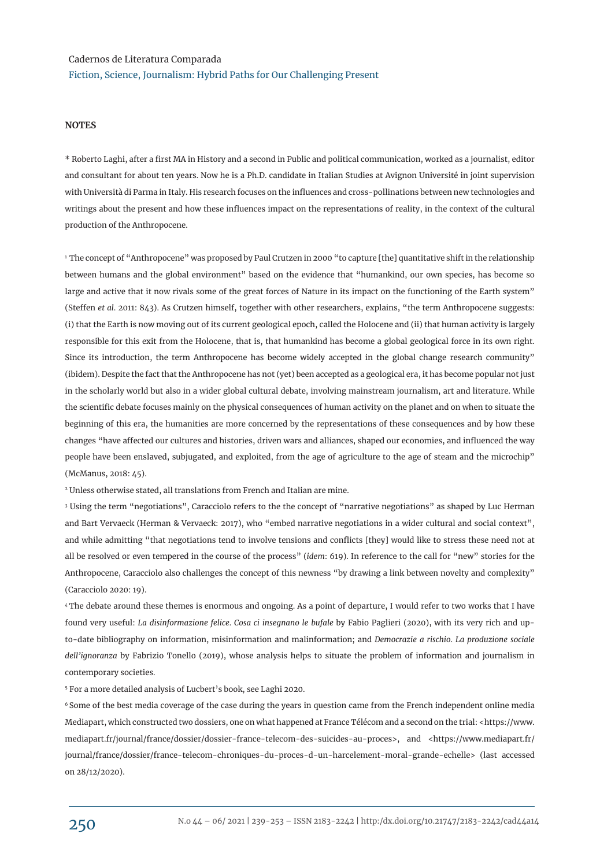#### **NOTES**

\* Roberto Laghi, after a first MA in History and a second in Public and political communication, worked as a journalist, editor and consultant for about ten years. Now he is a Ph.D. candidate in Italian Studies at Avignon Université in joint supervision with Università di Parma in Italy. His research focuses on the influences and cross-pollinations between new technologies and writings about the present and how these influences impact on the representations of reality, in the context of the cultural production of the Anthropocene.

<sup>1</sup> The concept of "Anthropocene" was proposed by Paul Crutzen in 2000 "to capture [the] quantitative shift in the relationship between humans and the global environment" based on the evidence that "humankind, our own species, has become so large and active that it now rivals some of the great forces of Nature in its impact on the functioning of the Earth system" (Steffen *et al*. 2011: 843). As Crutzen himself, together with other researchers, explains, "the term Anthropocene suggests: (i) that the Earth is now moving out of its current geological epoch, called the Holocene and (ii) that human activity is largely responsible for this exit from the Holocene, that is, that humankind has become a global geological force in its own right. Since its introduction, the term Anthropocene has become widely accepted in the global change research community" (ibidem). Despite the fact that the Anthropocene has not (yet) been accepted as a geological era, it has become popular not just in the scholarly world but also in a wider global cultural debate, involving mainstream journalism, art and literature. While the scientific debate focuses mainly on the physical consequences of human activity on the planet and on when to situate the beginning of this era, the humanities are more concerned by the representations of these consequences and by how these changes "have affected our cultures and histories, driven wars and alliances, shaped our economies, and influenced the way people have been enslaved, subjugated, and exploited, from the age of agriculture to the age of steam and the microchip" (McManus, 2018: 45).

<sup>2</sup> Unless otherwise stated, all translations from French and Italian are mine.

3 Using the term "negotiations", Caracciolo refers to the the concept of "narrative negotiations" as shaped by Luc Herman and Bart Vervaeck (Herman & Vervaeck: 2017), who "embed narrative negotiations in a wider cultural and social context", and while admitting "that negotiations tend to involve tensions and conflicts [they] would like to stress these need not at all be resolved or even tempered in the course of the process" (*idem*: 619). In reference to the call for "new" stories for the Anthropocene, Caracciolo also challenges the concept of this newness "by drawing a link between novelty and complexity" (Caracciolo 2020: 19).

<sup>4</sup>The debate around these themes is enormous and ongoing. As a point of departure, I would refer to two works that I have found very useful: *La disinformazione felice*. *Cosa ci insegnano le bufale* by Fabio Paglieri (2020), with its very rich and upto-date bibliography on information, misinformation and malinformation; and *Democrazie a rischio*. *La produzione sociale dell'ignoranza* by Fabrizio Tonello (2019), whose analysis helps to situate the problem of information and journalism in contemporary societies.

<sup>5</sup> For a more detailed analysis of Lucbert's book, see Laghi 2020.

<sup>6</sup> Some of the best media coverage of the case during the years in question came from the French independent online media Mediapart, which constructed two dossiers, one on what happened at France Télécom and a second on the trial: <https://www. mediapart.fr/journal/france/dossier/dossier-france-telecom-des-suicides-au-proces>, and <https://www.mediapart.fr/ journal/france/dossier/france-telecom-chroniques-du-proces-d-un-harcelement-moral-grande-echelle> (last accessed on 28/12/2020).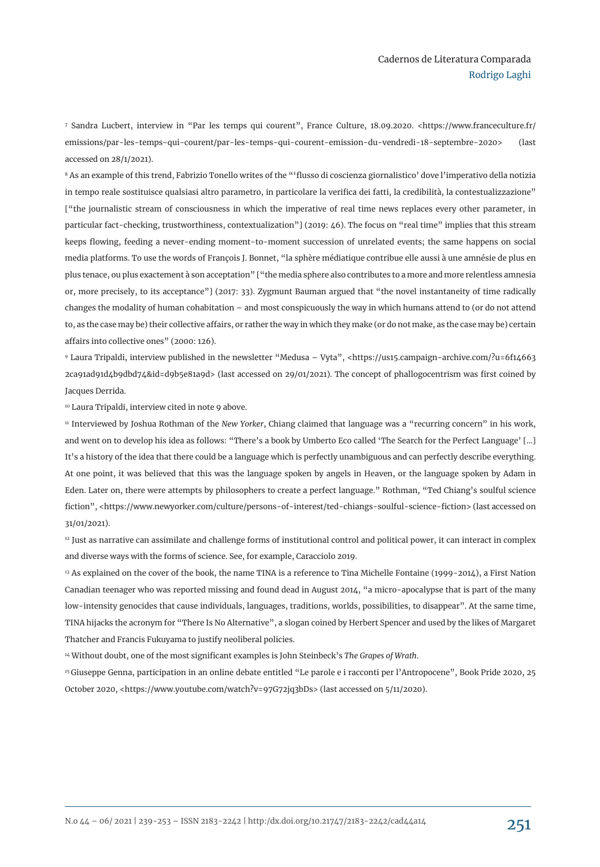<sup>7</sup> Sandra Lucbert, interview in "Par les temps qui courent", France Culture, 18.09.2020. <https://www.franceculture.fr/ emissions/par-les-temps-qui-courent/par-les-temps-qui-courent-emission-du-vendredi-18-septembre-2020> (last accessed on 28/1/2021).

<sup>8</sup> As an example of this trend, Fabrizio Tonello writes of the "'flusso di coscienza giornalistico' dove l'imperativo della notizia in tempo reale sostituisce qualsiasi altro parametro, in particolare la verifica dei fatti, la credibilità, la contestualizzazione" ["the journalistic stream of consciousness in which the imperative of real time news replaces every other parameter, in particular fact-checking, trustworthiness, contextualization"] (2019: 46). The focus on "real time" implies that this stream keeps flowing, feeding a never-ending moment-to-moment succession of unrelated events; the same happens on social media platforms. To use the words of François J. Bonnet, "la sphère médiatique contribue elle aussi à une amnésie de plus en plus tenace, ou plus exactement à son acceptation" ["the media sphere also contributes to a more and more relentless amnesia or, more precisely, to its acceptance"] (2017: 33). Zygmunt Bauman argued that "the novel instantaneity of time radically changes the modality of human cohabitation – and most conspicuously the way in which humans attend to (or do not attend to, as the case may be) their collective affairs, or rather the way in which they make (or do not make, as the case may be) certain affairs into collective ones" (2000: 126).

<sup>9</sup> Laura Tripaldi, interview published in the newsletter "Medusa – Vyta", <https://us15.campaign-archive.com/?u=6f14663 2ca91ad91d4b9dbd74&id=d9b5e81a9d> (last accessed on 29/01/2021). The concept of phallogocentrism was first coined by Jacques Derrida.

<sup>10</sup> Laura Tripaldi, interview cited in note 9 above.

11 Interviewed by Joshua Rothman of the *New Yorker*, Chiang claimed that language was a "recurring concern" in his work, and went on to develop his idea as follows: "There's a book by Umberto Eco called 'The Search for the Perfect Language' […] It's a history of the idea that there could be a language which is perfectly unambiguous and can perfectly describe everything. At one point, it was believed that this was the language spoken by angels in Heaven, or the language spoken by Adam in Eden. Later on, there were attempts by philosophers to create a perfect language." Rothman, "Ted Chiang's soulful science fiction", <https://www.newyorker.com/culture/persons-of-interest/ted-chiangs-soulful-science-fiction> (last accessed on 31/01/2021).

<sup>12</sup> Just as narrative can assimilate and challenge forms of institutional control and political power, it can interact in complex and diverse ways with the forms of science. See, for example, Caracciolo 2019.

<sup>13</sup> As explained on the cover of the book, the name TINA is a reference to Tina Michelle Fontaine (1999-2014), a First Nation Canadian teenager who was reported missing and found dead in August 2014, "a micro-apocalypse that is part of the many low-intensity genocides that cause individuals, languages, traditions, worlds, possibilities, to disappear". At the same time, TINA hijacks the acronym for "There Is No Alternative", a slogan coined by Herbert Spencer and used by the likes of Margaret Thatcher and Francis Fukuyama to justify neoliberal policies.

<sup>14</sup> Without doubt, one of the most significant examples is John Steinbeck's *The Grapes of Wrath*.

<sup>15</sup>Giuseppe Genna, participation in an online debate entitled "Le parole e i racconti per l'Antropocene", Book Pride 2020, 25 October 2020, <https://www.youtube.com/watch?v=97G72jq3bDs> (last accessed on 5/11/2020).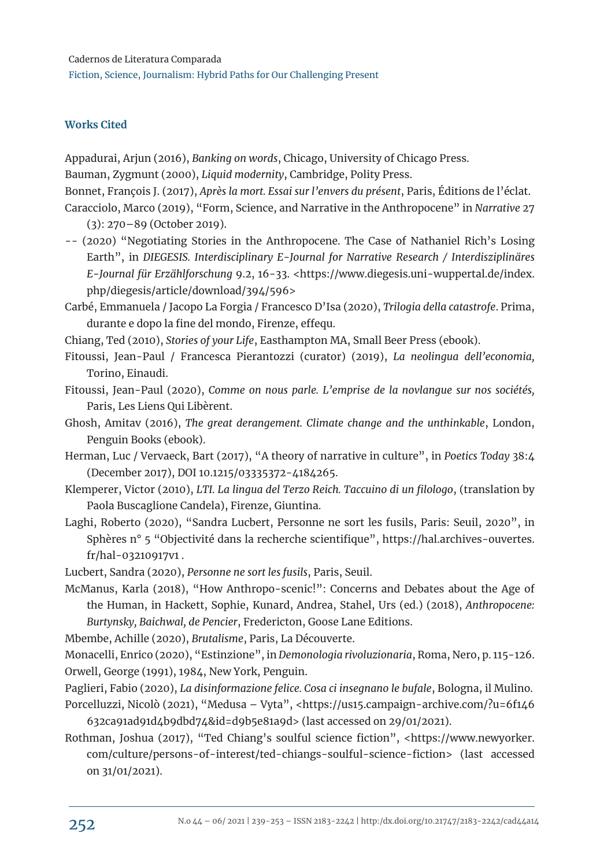## **Works Cited**

Appadurai, Arjun (2016), *Banking on words*, Chicago, University of Chicago Press.

Bauman, Zygmunt (2000), *Liquid modernity*, Cambridge, Polity Press.

Bonnet, François J. (2017), *Après la mort. Essai sur l'envers du présent*, Paris, Éditions de l'éclat.

Caracciolo, Marco (2019), "Form, Science, and Narrative in the Anthropocene" in *Narrative* 27 (3): 270–89 (October 2019).

- -- (2020) "Negotiating Stories in the Anthropocene. The Case of Nathaniel Rich's Losing Earth", in *DIEGESIS. Interdisciplinary E-Journal for Narrative Research / Interdisziplinäres E-Journal für Erzählforschung* 9.2, 16-33. <https://www.diegesis.uni-wuppertal.de/index. php/diegesis/article/download/394/596>
- Carbé, Emmanuela / Jacopo La Forgia / Francesco D'Isa (2020), *Trilogia della catastrofe*. Prima, durante e dopo la fine del mondo, Firenze, effequ.

Chiang, Ted (2010), *Stories of your Life*, Easthampton MA, Small Beer Press (ebook).

- Fitoussi, Jean-Paul / Francesca Pierantozzi (curator) (2019), *La neolingua dell'economia,*  Torino, Einaudi.
- Fitoussi, Jean-Paul (2020), *Comme on nous parle. L'emprise de la novlangue sur nos sociétés,*  Paris, Les Liens Qui Libèrent.
- Ghosh, Amitav (2016), *The great derangement. Climate change and the unthinkable*, London, Penguin Books (ebook).
- Herman, Luc / Vervaeck, Bart (2017), "A theory of narrative in culture", in *Poetics Today* 38:4 (December 2017), DOI 10.1215/03335372-4184265.
- Klemperer, Victor (2010), *LTI. La lingua del Terzo Reich. Taccuino di un filologo*, (translation by Paola Buscaglione Candela), Firenze, Giuntina.
- Laghi, Roberto (2020), "Sandra Lucbert, Personne ne sort les fusils, Paris: Seuil, 2020", in Sphères n° 5 "Objectivité dans la recherche scientifique", https://hal.archives-ouvertes. fr/hal-03210917v1 .
- Lucbert, Sandra (2020), *Personne ne sort les fusils*, Paris, Seuil.
- McManus, Karla (2018), "How Anthropo-scenic!": Concerns and Debates about the Age of the Human, in Hackett, Sophie, Kunard, Andrea, Stahel, Urs (ed.) (2018), *Anthropocene: Burtynsky, Baichwal, de Pencier*, Fredericton, Goose Lane Editions.

Mbembe, Achille (2020), *Brutalisme*, Paris, La Découverte.

Monacelli, Enrico (2020), "Estinzione", in *Demonologia rivoluzionaria*, Roma, Nero, p. 115-126. Orwell, George (1991), 1984, New York, Penguin.

- Paglieri, Fabio (2020), *La disinformazione felice. Cosa ci insegnano le bufale*, Bologna, il Mulino.
- Porcelluzzi, Nicolò (2021), "Medusa Vyta", <https://us15.campaign-archive.com/?u=6f146 632ca91ad91d4b9dbd74&id=d9b5e81a9d> (last accessed on 29/01/2021).
- Rothman, Joshua (2017), "Ted Chiang's soulful science fiction", <https://www.newyorker. com/culture/persons-of-interest/ted-chiangs-soulful-science-fiction> (last accessed on 31/01/2021).